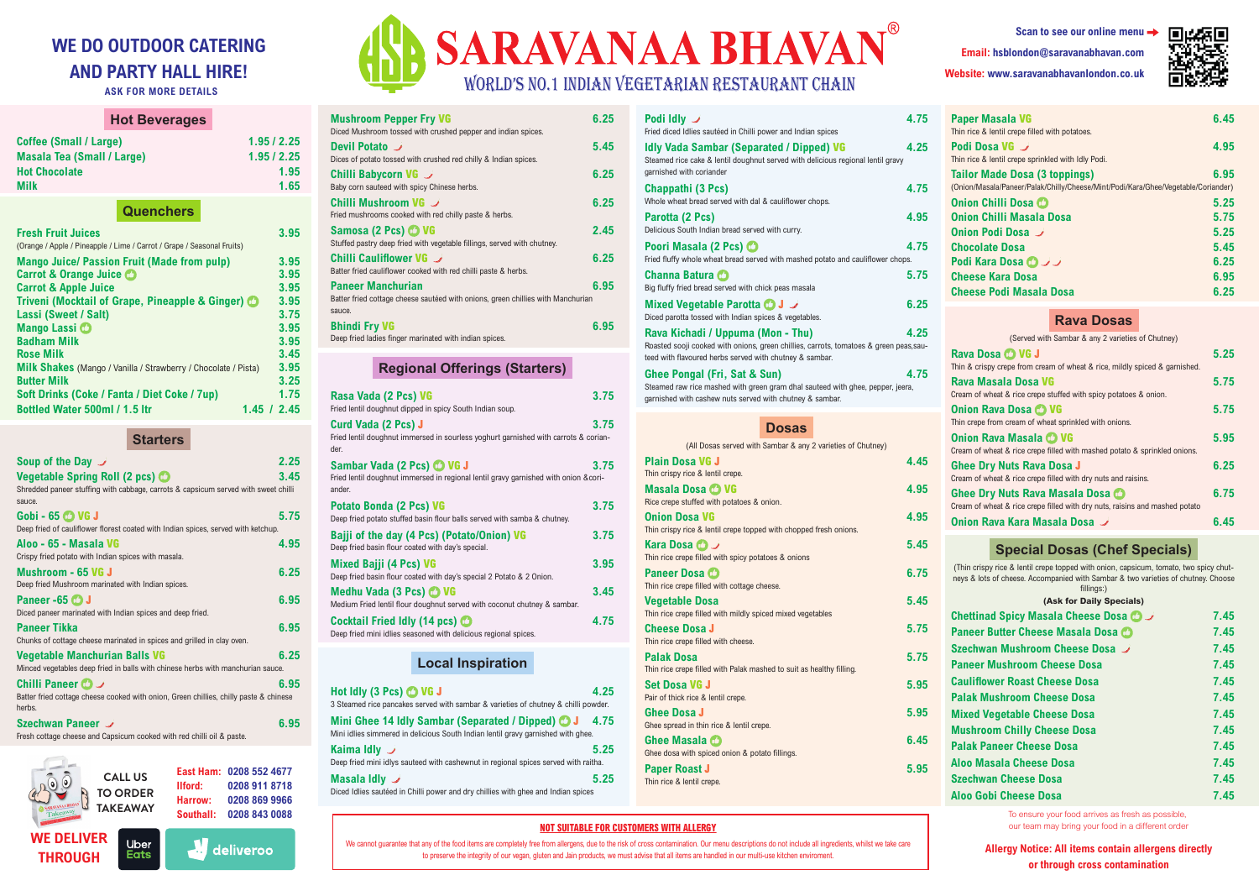#### **NOT SUITABLE FOR CUSTOMERS WITH ALLERGY**

We cannot guarantee that any of the food items are completely free from allergens, due to the risk of cross contamination. Our menu descriptions do not include all ingredients, whilst we take care to preserve the integrity of our vegan, gluten and Jain products, we must advise that all items are handled in our multi-use kitchen enviroment.



**Allergy Notice: All items contain allergens directly or through cross contamination**



| Scan to see our online menu -           |  |
|-----------------------------------------|--|
| Email: hsblondon@saravanabhavan.com     |  |
| Website: www.saravanabhavanlondon.co.uk |  |



# **WE DO OUTDOOR CATERING AND PARTY HALL HIRE!**

**ASK FOR MORE DETAILS**

To ensure your food arrives as fresh as possible, our team may bring your food in a different order

| <b>Hot Beverages</b>                                                                                |                        |
|-----------------------------------------------------------------------------------------------------|------------------------|
| <b>Coffee (Small / Large)</b><br><b>Masala Tea (Small / Large)</b>                                  | 1.95/2.25<br>1.95/2.25 |
| <b>Hot Chocolate</b><br><b>Milk</b>                                                                 | 1.95<br>1.65           |
| <b>Quenchers</b>                                                                                    |                        |
| <b>Fresh Fruit Juices</b><br>(Orange / Apple / Pineapple / Lime / Carrot / Grape / Seasonal Fruits) | 3.95                   |
| <b>Mango Juice/ Passion Fruit (Made from pulp)</b>                                                  | 3.95                   |
| <b>Carrot &amp; Orange Juice O</b>                                                                  | 3.95                   |
| <b>Carrot &amp; Apple Juice</b>                                                                     | 3.95                   |
| Triveni (Mocktail of Grape, Pineapple & Ginger) <sup>1</sup>                                        | 3.95                   |
| <b>Lassi (Sweet / Salt)</b>                                                                         | 3.75                   |
| Mango Lassi O                                                                                       | 3.95                   |
| <b>Badham Milk</b>                                                                                  | 3.95                   |
| <b>Rose Milk</b>                                                                                    | 3.45                   |
| <b>Milk Shakes</b> (Mango / Vanilla / Strawberry / Chocolate / Pista)                               | 3.95                   |
| <b>Butter Milk</b>                                                                                  | 3.25                   |
| Soft Drinks (Coke / Fanta / Diet Coke / 7up)                                                        | 1.75                   |
| <b>Bottled Water 500ml / 1.5 ltr</b>                                                                | 1.45 / 2.45            |

**Starters**

| Soup of the Day $\overrightarrow{J}$<br><b>Vegetable Spring Roll (2 pcs)</b><br>Shredded paneer stuffing with cabbage, carrots & capsicum served with sweet chilli<br>sauce. | 2.25<br>3.45 |
|------------------------------------------------------------------------------------------------------------------------------------------------------------------------------|--------------|
| Gobi - 65 C VG J<br>Deep fried of cauliflower florest coated with Indian spices, served with ketchup.                                                                        | 5.75         |
| Aloo - 65 - Masala VG<br>Crispy fried potato with Indian spices with masala.                                                                                                 | 4.95         |
| Mushroom - 65 VG J<br>Deep fried Mushroom marinated with Indian spices.                                                                                                      | 6.25         |
| Paneer -65 <b>CD</b> J<br>Diced paneer marinated with Indian spices and deep fried.                                                                                          | 6.95         |
| Paneer Tikka<br>Chunks of cottage cheese marinated in spices and grilled in clay oven.                                                                                       | 6.95         |
| Vegetable Manchurian Balls VG<br>Minced vegetables deep fried in balls with chinese herbs with manchurian sauce.                                                             | 6.25         |
| Chilli Paneer (△<br>Batter fried cottage cheese cooked with onion, Green chillies, chilly paste & chinese<br>herbs.                                                          | 6.95         |
| Szechwan Paneer<br>Fresh cottage cheese and Capsicum cooked with red chilli oil & paste.                                                                                     | 6.95         |

| <b>Mushroom Pepper Fry VG</b><br>Diced Mushroom tossed with crushed pepper and indian spices.                               | 6.25 |
|-----------------------------------------------------------------------------------------------------------------------------|------|
| Devil Potato<br>Dices of potato tossed with crushed red chilly & Indian spices.                                             | 5.45 |
| Chilli Babycorn VG $\rightarrow$<br>Baby corn sauteed with spicy Chinese herbs.                                             | 6.25 |
| Chilli Mushroom VG $\rightarrow$<br>Fried mushrooms cooked with red chilly paste & herbs.                                   | 6.25 |
| Samosa (2 Pcs) <sup>1</sup> VG<br>Stuffed pastry deep fried with vegetable fillings, served with chutney.                   | 2.45 |
| Chilli Cauliflower VG →<br>Batter fried cauliflower cooked with red chilli paste & herbs.                                   | 6.25 |
| <b>Paneer Manchurian</b><br>Batter fried cottage cheese sautéed with onions, green chillies with Manchurian<br>sauce.       | 6.95 |
| <b>Bhindi Fry VG</b><br>Deep fried ladies finger marinated with indian spices.                                              | 6.95 |
| <b>Regional Offerings (Starters)</b>                                                                                        |      |
| Rasa Vada (2 Pcs) VG<br>Fried lentil doughnut dipped in spicy South Indian soup.                                            | 3.75 |
| <b>Curd Vada (2 Pcs) J</b><br>Fried lentil doughnut immersed in sourless yoghurt garnished with carrots & corian-<br>der.   | 3.75 |
| Sambar Vada (2 Pcs) @ VG J<br>Fried lentil doughnut immersed in regional lentil gravy garnished with onion &cori-<br>ander. | 3.75 |
| Potato Bonda (2 Pcs) VG<br>Deep fried potato stuffed basin flour balls served with samba & chutney.                         | 3.75 |
|                                                                                                                             |      |

| Bajji of the day (4 Pcs) (Potato/Onion) VG<br>Deep fried basin flour coated with day's special.       | 3.75 |
|-------------------------------------------------------------------------------------------------------|------|
| <b>Mixed Bajji (4 Pcs) VG</b><br>Deep fried basin flour coated with day's special 2 Potato & 2 Onion. | 3.95 |
| Medhu Vada (3 Pcs) CO VG<br>Medium Fried lentil flour doughnut served with coconut chutney & sambar.  | 3.45 |
| Cocktail Fried Idly (14 pcs) C<br>Deep fried mini idlies seasoned with delicious regional spices.     | 4.75 |

# **Local Inspiration**

| Hot Idly (3 Pcs) <sup>1</sup> VG J<br>3 Steamed rice pancakes served with sambar & varieties of chutney & chilli powder.                               | 4.25 |
|--------------------------------------------------------------------------------------------------------------------------------------------------------|------|
| Mini Ghee 14 Idly Sambar (Separated / Dipped) <b>O</b> J<br>- 4.75<br>Mini idlies simmered in delicious South Indian lentil gravy garnished with ghee. |      |
| Kaima Idly $\overline{\mathscr{S}}$<br>Deep fried mini idlys sauteed with cashewnut in regional spices served with raitha.                             | 5.25 |
| <b>Masala Idly</b> $\rightarrow$<br>Diced Idlies sautéed in Chilli power and dry chillies with ghee and Indian spices                                  | 5.25 |

| Podi Idly <i>ノ</i><br>Fried diced Idlies sautéed in Chilli power and Indian spices                                                                                                     | 4.75 |
|----------------------------------------------------------------------------------------------------------------------------------------------------------------------------------------|------|
| <b>Idly Vada Sambar (Separated / Dipped) VG</b><br>Steamed rice cake & lentil doughnut served with delicious regional lentil gravy<br>garnished with coriander                         | 4.25 |
| Chappathi (3 Pcs)<br>Whole wheat bread served with dal & cauliflower chops.                                                                                                            | 4.75 |
| Parotta (2 Pcs)<br>Delicious South Indian bread served with curry.                                                                                                                     | 4.95 |
| Poori Masala (2 Pcs) (2<br>Fried fluffy whole wheat bread served with mashed potato and cauliflower chops.                                                                             | 4.75 |
| Channa Batura C<br>Big fluffy fried bread served with chick peas masala                                                                                                                | 5.75 |
| Mixed Vegetable Parotta <b>O</b> J J<br>Diced parotta tossed with Indian spices & vegetables.                                                                                          | 6.25 |
| Rava Kichadi / Uppuma (Mon - Thu)<br>Roasted sooji cooked with onions, green chillies, carrots, tomatoes & green peas, sau-<br>teed with flavoured herbs served with chutney & sambar. | 4.25 |
| Ghee Pongal (Fri, Sat & Sun)<br>Steamed raw rice mashed with green gram dhal sauteed with ghee, pepper, jeera,<br>garnished with cashew nuts served with chutney & sambar.             | 4.75 |

# **Dosas**

| (All Dosas served with Sambar & any 2 varieties of Chutney)          |      |
|----------------------------------------------------------------------|------|
| <b>Plain Dosa VG J</b>                                               | 4.45 |
| Thin crispy rice & lentil crepe.                                     |      |
| Masala Dosa C VG                                                     | 4.95 |
| Rice crepe stuffed with potatoes & onion.                            |      |
| Onion Dosa VG                                                        | 4.95 |
| Thin crispy rice & lentil crepe topped with chopped fresh onions.    |      |
| Kara Dosa ロノ                                                         | 5.45 |
| Thin rice crepe filled with spicy potatoes & onions                  |      |
| <b>Paneer Dosa C</b>                                                 | 6.75 |
| Thin rice crepe filled with cottage cheese.                          |      |
| Vegetable Dosa                                                       | 5.45 |
| Thin rice crepe filled with mildly spiced mixed vegetables           |      |
| <b>Cheese Dosa J</b>                                                 | 5.75 |
| Thin rice crepe filled with cheese.                                  |      |
| <b>Palak Dosa</b>                                                    | 5.75 |
| Thin rice crepe filled with Palak mashed to suit as healthy filling. |      |
| Set Dosa VG J                                                        | 5.95 |
| Pair of thick rice & lentil crepe.                                   |      |
| Ghee Dosa J                                                          | 5.95 |
| Ghee spread in thin rice & lentil crepe.                             |      |
| Ghee Masala (D                                                       | 6.45 |
| Ghee dosa with spiced onion & potato fillings.                       |      |
| <b>Paper Roast J</b>                                                 | 5.95 |
| Thin rice & lentil crepe.                                            |      |

| <b>Paper Masala VG</b><br>Thin rice & lentil crepe filled with potatoes.                                                  | 6.45 |
|---------------------------------------------------------------------------------------------------------------------------|------|
| Podi Dosa VG ノ<br>Thin rice & lentil crepe sprinkled with Idly Podi.                                                      | 4.95 |
| <b>Tailor Made Dosa (3 toppings)</b><br>(Onion/Masala/Paneer/Palak/Chilly/Cheese/Mint/Podi/Kara/Ghee/Vegetable/Coriander) | 6.95 |
| Onion Chilli Dosa C                                                                                                       | 5.25 |
| <b>Onion Chilli Masala Dosa</b>                                                                                           | 5.75 |
| Onion Podi Dosa J                                                                                                         | 5.25 |
| <b>Chocolate Dosa</b>                                                                                                     | 5.45 |
| <b>Podi Kara Dosa ロンノ</b>                                                                                                 | 6.25 |
| <b>Cheese Kara Dosa</b>                                                                                                   | 6.95 |
| <b>Cheese Podi Masala Dosa</b>                                                                                            | 6.25 |
|                                                                                                                           |      |

## **Rava Dosas**

| (Served with Sambar & any 2 varieties of Chutney)                           |      |
|-----------------------------------------------------------------------------|------|
| Rava Dosa C VG J                                                            | 5.25 |
| Thin & crispy crepe from cream of wheat & rice, mildly spiced & garnished.  |      |
| Rava Masala Dosa VG                                                         | 5.75 |
| Cream of wheat & rice crepe stuffed with spicy potatoes & onion.            |      |
| Onion Rava Dosa CO VG                                                       | 5.75 |
| Thin crepe from cream of wheat sprinkled with onions.                       |      |
| Onion Rava Masala CO VG                                                     | 5.95 |
| Cream of wheat & rice crepe filled with mashed potato & sprinkled onions.   |      |
| <b>Ghee Dry Nuts Rava Dosa J</b>                                            | 6.25 |
| Cream of wheat & rice crepe filled with dry nuts and raisins.               |      |
| Ghee Dry Nuts Rava Masala Dosa CO                                           | 6.75 |
| Cream of wheat & rice crepe filled with dry nuts, raisins and mashed potato |      |
| Onion Rava Kara Masala Dosa J                                               | 6.45 |

# **Special Dosas (Chef Specials)**

(Thin crispy rice & lentil crepe topped with onion, capsicum, tomato, two spicy chutneys & lots of cheese. Accompanied with Sambar & two varieties of chutney. Choose fillings:)

|  | . |                          |  |
|--|---|--------------------------|--|
|  |   | (Ask for Daily Specials) |  |

| $max$ ivi bally opcolary             |      |
|--------------------------------------|------|
| Chettinad Spicy Masala Cheese Dosa C | 7.45 |
| Paneer Butter Cheese Masala Dosa C   | 7.45 |
| Szechwan Mushroom Cheese Dosa        | 7.45 |
| <b>Paneer Mushroom Cheese Dosa</b>   | 7.45 |
| <b>Cauliflower Roast Cheese Dosa</b> | 7.45 |
| <b>Palak Mushroom Cheese Dosa</b>    | 7.45 |
| <b>Mixed Vegetable Cheese Dosa</b>   | 7.45 |
| <b>Mushroom Chilly Cheese Dosa</b>   | 7.45 |
| <b>Palak Paneer Cheese Dosa</b>      | 7.45 |
| <b>Aloo Masala Cheese Dosa</b>       | 7.45 |
| <b>Szechwan Cheese Dosa</b>          | 7.45 |
| <b>Aloo Gobi Cheese Dosa</b>         | 7.45 |